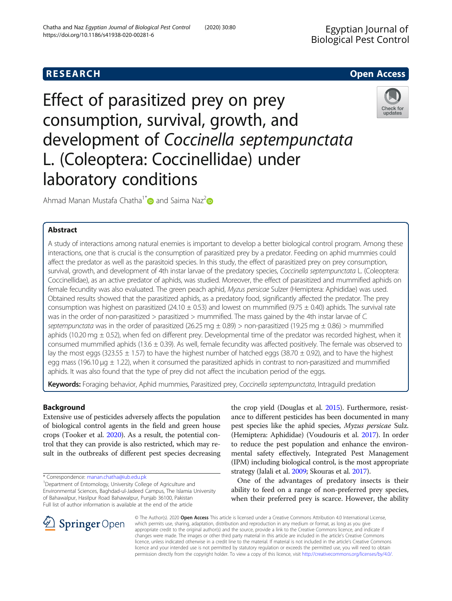## **RESEARCH CHILD CONTROL** CONTROL CONTROL CONTROL CONTROL CONTROL CONTROL CONTROL CONTROL CONTROL CONTROL CONTROL

# Effect of parasitized prey on prey consumption, survival, growth, and development of Coccinella septempunctata L. (Coleoptera: Coccinellidae) under laboratory conditions



Ahmad Manan Mustafa Chatha<sup>1\*</sup> and Saima Naz<sup>[2](https://orcid.org/0000-0002-7748-0490)</sup>

## Abstract

A study of interactions among natural enemies is important to develop a better biological control program. Among these interactions, one that is crucial is the consumption of parasitized prey by a predator. Feeding on aphid mummies could affect the predator as well as the parasitoid species. In this study, the effect of parasitized prey on prey consumption, survival, growth, and development of 4th instar larvae of the predatory species, Coccinella septempunctata L. (Coleoptera: Coccinellidae), as an active predator of aphids, was studied. Moreover, the effect of parasitized and mummified aphids on female fecundity was also evaluated. The green peach aphid, Myzus persicae Sulzer (Hemiptera: Aphididae) was used. Obtained results showed that the parasitized aphids, as a predatory food, significantly affected the predator. The prey consumption was highest on parasitized (24.10  $\pm$  0.53) and lowest on mummified (9.75  $\pm$  0.40) aphids. The survival rate was in the order of non-parasitized > parasitized > mummified. The mass gained by the 4th instar larvae of C. septempunctata was in the order of parasitized (26.25 mg  $\pm$  0.89) > non-parasitized (19.25 mg  $\pm$  0.86) > mummified aphids (10.20 mg  $\pm$  0.52), when fed on different prey. Developmental time of the predator was recorded highest, when it consumed mummified aphids (13.6  $\pm$  0.39). As well, female fecundity was affected positively. The female was observed to lay the most eggs (323.55  $\pm$  1.57) to have the highest number of hatched eggs (38.70  $\pm$  0.92), and to have the highest egg mass (196.10  $\mu$ g  $\pm$  1.22), when it consumed the parasitized aphids in contrast to non-parasitized and mummified aphids. It was also found that the type of prey did not affect the incubation period of the eggs.

Keywords: Foraging behavior, Aphid mummies, Parasitized prey, Coccinella septempunctata, Intraguild predation

## Background

Extensive use of pesticides adversely affects the population of biological control agents in the field and green house crops (Tooker et al. [2020\)](#page-5-0). As a result, the potential control that they can provide is also restricted, which may result in the outbreaks of different pest species decreasing

<sup>1</sup>Department of Entomology, University College of Agriculture and Environmental Sciences, Baghdad-ul-Jadeed Campus, The Islamia University of Bahawalpur, Hasilpur Road Bahawalpur, Punjab 36100, Pakistan Full list of author information is available at the end of the article

the crop yield (Douglas et al. [2015](#page-5-0)). Furthermore, resistance to different pesticides has been documented in many pest species like the aphid species, Myzus persicae Sulz. (Hemiptera: Aphididae) (Voudouris et al. [2017\)](#page-5-0). In order to reduce the pest population and enhance the environmental safety effectively, Integrated Pest Management (IPM) including biological control, is the most appropriate strategy (Jalali et al. [2009;](#page-5-0) Skouras et al. [2017\)](#page-5-0).

One of the advantages of predatory insects is their ability to feed on a range of non-preferred prey species, when their preferred prey is scarce. However, the ability



© The Author(s). 2020 Open Access This article is licensed under a Creative Commons Attribution 4.0 International License, which permits use, sharing, adaptation, distribution and reproduction in any medium or format, as long as you give appropriate credit to the original author(s) and the source, provide a link to the Creative Commons licence, and indicate if changes were made. The images or other third party material in this article are included in the article's Creative Commons licence, unless indicated otherwise in a credit line to the material. If material is not included in the article's Creative Commons licence and your intended use is not permitted by statutory regulation or exceeds the permitted use, you will need to obtain permission directly from the copyright holder. To view a copy of this licence, visit <http://creativecommons.org/licenses/by/4.0/>.

<sup>\*</sup> Correspondence: [manan.chatha@iub.edu.pk](mailto:manan.chatha@iub.edu.pk) <sup>1</sup>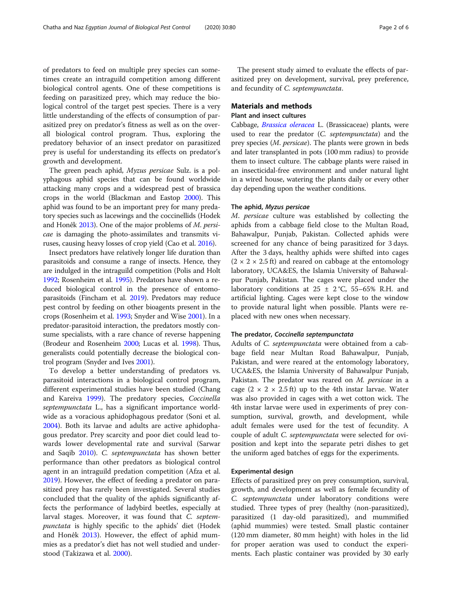of predators to feed on multiple prey species can sometimes create an intraguild competition among different biological control agents. One of these competitions is feeding on parasitized prey, which may reduce the biological control of the target pest species. There is a very little understanding of the effects of consumption of parasitized prey on predator's fitness as well as on the overall biological control program. Thus, exploring the predatory behavior of an insect predator on parasitized prey is useful for understanding its effects on predator's growth and development.

The green peach aphid, Myzus persicae Sulz. is a polyphagous aphid species that can be found worldwide attacking many crops and a widespread pest of brassica crops in the world (Blackman and Eastop [2000](#page-5-0)). This aphid was found to be an important prey for many predatory species such as lacewings and the coccinellids (Hodek and Honêk [2013](#page-5-0)). One of the major problems of M. persicae is damaging the photo-assimilates and transmits viruses, causing heavy losses of crop yield (Cao et al. [2016](#page-5-0)).

Insect predators have relatively longer life duration than parasitoids and consume a range of insects. Hence, they are indulged in the intraguild competition (Polis and Holt [1992;](#page-5-0) Rosenheim et al. [1995\)](#page-5-0). Predators have shown a reduced biological control in the presence of entomoparasitoids (Fincham et al. [2019](#page-5-0)). Predators may reduce pest control by feeding on other bioagents present in the crops (Rosenheim et al. [1993](#page-5-0); Snyder and Wise [2001](#page-5-0)). In a predator-parasitoid interaction, the predators mostly consume specialists, with a rare chance of reverse happening (Brodeur and Rosenheim [2000;](#page-5-0) Lucas et al. [1998\)](#page-5-0). Thus, generalists could potentially decrease the biological control program (Snyder and Ives [2001\)](#page-5-0).

To develop a better understanding of predators vs. parasitoid interactions in a biological control program, different experimental studies have been studied (Chang and Kareiva [1999\)](#page-5-0). The predatory species, Coccinella septempunctata L., has a significant importance worldwide as a voracious aphidophagous predator (Soni et al. [2004](#page-5-0)). Both its larvae and adults are active aphidophagous predator. Prey scarcity and poor diet could lead towards lower developmental rate and survival (Sarwar and Saqib [2010](#page-5-0)). C. septempunctata has shown better performance than other predators as biological control agent in an intraguild predation competition (Afza et al. [2019](#page-5-0)). However, the effect of feeding a predator on parasitized prey has rarely been investigated. Several studies concluded that the quality of the aphids significantly affects the performance of ladybird beetles, especially at larval stages. Moreover, it was found that C. septempunctata is highly specific to the aphids' diet (Hodek and Honêk [2013](#page-5-0)). However, the effect of aphid mummies as a predator's diet has not well studied and understood (Takizawa et al. [2000\)](#page-5-0).

The present study aimed to evaluate the effects of parasitized prey on development, survival, prey preference, and fecundity of C. septempunctata.

#### Materials and methods

#### Plant and insect cultures

Cabbage, [Brassica oleracea](https://en.wikipedia.org/wiki/Brassica_oleracea) L. (Brassicaceae) plants, were used to rear the predator (C. septempunctata) and the prey species (M. persicae). The plants were grown in beds and later transplanted in pots (100 mm radius) to provide them to insect culture. The cabbage plants were raised in an insecticidal-free environment and under natural light in a wired house, watering the plants daily or every other day depending upon the weather conditions.

#### The aphid, Myzus persicae

M. persicae culture was established by collecting the aphids from a cabbage field close to the Multan Road, Bahawalpur, Punjab, Pakistan. Collected aphids were screened for any chance of being parasitized for 3 days. After the 3 days, healthy aphids were shifted into cages  $(2 \times 2 \times 2.5 \text{ ft})$  and reared on cabbage at the entomology laboratory, UCA&ES, the Islamia University of Bahawalpur Punjab, Pakistan. The cages were placed under the laboratory conditions at  $25 \pm 2$  °C, 55–65% R.H. and artificial lighting. Cages were kept close to the window to provide natural light when possible. Plants were replaced with new ones when necessary.

#### The predator, Coccinella septempunctata

Adults of C. septempunctata were obtained from a cabbage field near Multan Road Bahawalpur, Punjab, Pakistan, and were reared at the entomology laboratory, UCA&ES, the Islamia University of Bahawalpur Punjab, Pakistan. The predator was reared on M. persicae in a cage  $(2 \times 2 \times 2.5 \text{ ft})$  up to the 4th instar larvae. Water was also provided in cages with a wet cotton wick. The 4th instar larvae were used in experiments of prey consumption, survival, growth, and development, while adult females were used for the test of fecundity. A couple of adult C. septempunctata were selected for oviposition and kept into the separate petri dishes to get the uniform aged batches of eggs for the experiments.

#### Experimental design

Effects of parasitized prey on prey consumption, survival, growth, and development as well as female fecundity of C. septempunctata under laboratory conditions were studied. Three types of prey (healthy (non-parasitized), parasitized (1 day-old parasitized), and mummified (aphid mummies) were tested. Small plastic container (120 mm diameter, 80 mm height) with holes in the lid for proper aeration was used to conduct the experiments. Each plastic container was provided by 30 early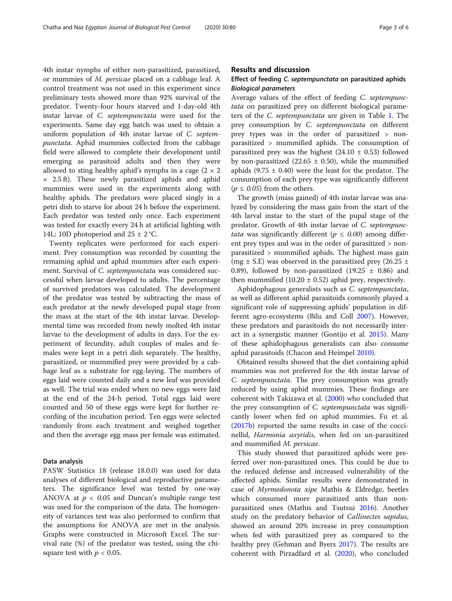4th instar nymphs of either non-parasitized, parasitized, or mummies of M. persicae placed on a cabbage leaf. A control treatment was not used in this experiment since preliminary tests showed more than 92% survival of the predator. Twenty-four hours starved and 1-day-old 4th instar larvae of C. septempunctata were used for the experiments. Same day egg batch was used to obtain a uniform population of 4th instar larvae of C. septempunctata. Aphid mummies collected from the cabbage field were allowed to complete their development until emerging as parasitoid adults and then they were allowed to sting healthy aphid's nymphs in a cage  $(2 \times 2)$  $\times$  2.5 ft). These newly parasitized aphids and aphid mummies were used in the experiments along with healthy aphids. The predators were placed singly in a petri dish to starve for about 24 h before the experiment. Each predator was tested only once. Each experiment was tested for exactly every 24 h at artificial lighting with 14L: 10D photoperiod and  $25 \pm 2$  °C.

Twenty replicates were performed for each experiment. Prey consumption was recorded by counting the remaining aphid and aphid mummies after each experiment. Survival of C. septempunctata was considered successful when larvae developed to adults. The percentage of survived predators was calculated. The development of the predator was tested by subtracting the mass of each predator at the newly developed pupal stage from the mass at the start of the 4th instar larvae. Developmental time was recorded from newly molted 4th instar larvae to the development of adults in days. For the experiment of fecundity, adult couples of males and females were kept in a petri dish separately. The healthy, parasitized, or mummified prey were provided by a cabbage leaf as a substrate for egg-laying. The numbers of eggs laid were counted daily and a new leaf was provided as well. The trial was ended when no new eggs were laid at the end of the 24-h period. Total eggs laid were counted and 50 of these eggs were kept for further recording of the incubation period. Ten eggs were selected randomly from each treatment and weighed together and then the average egg mass per female was estimated.

## Data analysis

PASW Statistics 18 (release 18.0.0) was used for data analyses of different biological and reproductive parameters. The significance level was tested by one-way ANOVA at  $p < 0.05$  and Duncan's multiple range test was used for the comparison of the data. The homogeneity of variances test was also performed to confirm that the assumptions for ANOVA are met in the analysis. Graphs were constructed in Microsoft Excel. The survival rate (%) of the predator was tested, using the chisquare test with  $p < 0.05$ .

#### Results and discussion

## Effect of feeding C. septempunctata on parasitized aphids Biological parameters

Average values of the effect of feeding C. septempunctata on parasitized prey on different biological parameters of the C. septempunctata are given in Table [1.](#page-3-0) The prey consumption by C. septempunctata on different prey types was in the order of parasitized > nonparasitized > mummified aphids. The consumption of parasitized prey was the highest  $(24.10 \pm 0.53)$  followed by non-parasitized (22.65  $\pm$  0.50), while the mummified aphids (9.75  $\pm$  0.40) were the least for the predator. The consumption of each prey type was significantly different ( $p \leq 0.05$ ) from the others.

The growth (mass gained) of 4th instar larvae was analyzed by considering the mass gain from the start of the 4th larval instar to the start of the pupal stage of the predator. Growth of 4th instar larvae of C. septempunc*tata* was significantly different ( $p \le 0.00$ ) among different prey types and was in the order of parasitized > nonparasitized > mummified aphids. The highest mass gain (mg  $\pm$  S.E) was observed in the parasitized prey (26.25  $\pm$ 0.89), followed by non-parasitized (19.25  $\pm$  0.86) and then mummified  $(10.20 \pm 0.52)$  aphid prey, respectively.

Aphidophagous generalists such as C. septempunctata, as well as different aphid parasitoids commonly played a significant role of suppressing aphids' population in different agro-ecosystems (Bilu and Coll [2007\)](#page-5-0). However, these predators and parasitoids do not necessarily interact in a synergistic manner (Gontijo et al. [2015\)](#page-5-0). Many of these aphidophagous generalists can also consume aphid parasitoids (Chacon and Heimpel [2010\)](#page-5-0).

Obtained results showed that the diet containing aphid mummies was not preferred for the 4th instar larvae of C. septempunctata. The prey consumption was greatly reduced by using aphid mummies. These findings are coherent with Takizawa et al. [\(2000](#page-5-0)) who concluded that the prey consumption of C. septempunctata was significantly lower when fed on aphid mummies. Fu et al. ([2017b\)](#page-5-0) reported the same results in case of the coccinellid, Harmonia axyridis, when fed on un-parasitized and mummified M. persicae.

This study showed that parasitized aphids were preferred over non-parasitized ones. This could be due to the reduced defense and increased vulnerability of the affected aphids. Similar results were demonstrated in case of Myrmedonota xipe Mathis & Eldredge, beetles which consumed more parasitized ants than nonparasitized ones (Mathis and Tsutsui [2016](#page-5-0)). Another study on the predatory behavior of Callinectes sapidus, showed an around 20% increase in prey consumption when fed with parasitized prey as compared to the healthy prey (Gehman and Byers [2017](#page-5-0)). The results are coherent with Pirzadfard et al. ([2020](#page-5-0)), who concluded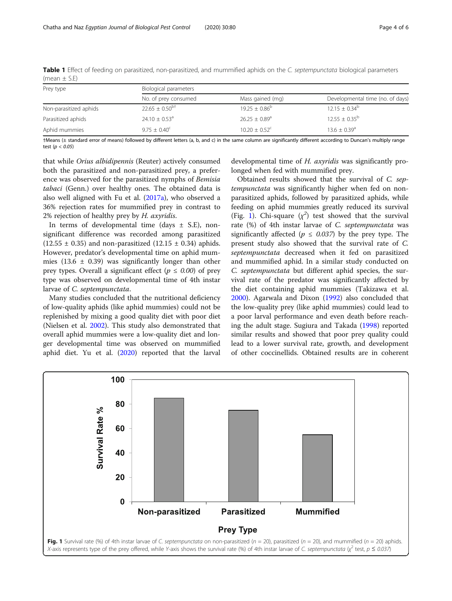| Prey type              | Biological parameters          |                               |                                  |  |
|------------------------|--------------------------------|-------------------------------|----------------------------------|--|
|                        | No. of prey consumed           | Mass gained (mg)              | Developmental time (no. of days) |  |
| Non-parasitized aphids | $22.65 \pm 0.50$ <sup>bt</sup> | $19.25 + 0.86^b$              | $12.15 \pm 0.34^b$               |  |
| Parasitized aphids     | $24.10 \pm 0.53$ <sup>a</sup>  | $26.25 \pm 0.89$ <sup>a</sup> | $12.55 \pm 0.35^{\circ}$         |  |
| Aphid mummies          | $9.75 + 0.40^{\circ}$          | $10.20 \pm 0.52^{\circ}$      | $13.6 + 0.39$ <sup>a</sup>       |  |
|                        |                                |                               |                                  |  |

<span id="page-3-0"></span>Table 1 Effect of feeding on parasitized, non-parasitized, and mummified aphids on the C. septempunctata biological parameters (mean  $\pm$  S.E)

†Means (± standard error of means) followed by different letters (a, b, and c) in the same column are significantly different according to Duncan's multiply range test ( $p < 0.05$ )

that while Orius albidipennis (Reuter) actively consumed both the parasitized and non-parasitized prey, a preference was observed for the parasitized nymphs of Bemisia tabaci (Genn.) over healthy ones. The obtained data is also well aligned with Fu et al. [\(2017a](#page-5-0)), who observed a 36% rejection rates for mummified prey in contrast to 2% rejection of healthy prey by H. axyridis.

In terms of developmental time (days  $\pm$  S.E), nonsignificant difference was recorded among parasitized  $(12.55 \pm 0.35)$  and non-parasitized  $(12.15 \pm 0.34)$  aphids. However, predator's developmental time on aphid mummies (13.6  $\pm$  0.39) was significantly longer than other prey types. Overall a significant effect ( $p \le 0.00$ ) of prey type was observed on developmental time of 4th instar larvae of C. septempunctata.

Many studies concluded that the nutritional deficiency of low-quality aphids (like aphid mummies) could not be replenished by mixing a good quality diet with poor diet (Nielsen et al. [2002](#page-5-0)). This study also demonstrated that overall aphid mummies were a low-quality diet and longer developmental time was observed on mummified aphid diet. Yu et al. ([2020\)](#page-5-0) reported that the larval

developmental time of H. axyridis was significantly prolonged when fed with mummified prey.

Obtained results showed that the survival of C. septempunctata was significantly higher when fed on nonparasitized aphids, followed by parasitized aphids, while feeding on aphid mummies greatly reduced its survival (Fig. 1). Chi-square  $(\chi^2)$  test showed that the survival rate (%) of 4th instar larvae of C. septempunctata was significantly affected ( $p \leq 0.037$ ) by the prey type. The present study also showed that the survival rate of C. septempunctata decreased when it fed on parasitized and mummified aphid. In a similar study conducted on C. septempunctata but different aphid species, the survival rate of the predator was significantly affected by the diet containing aphid mummies (Takizawa et al. [2000](#page-5-0)). Agarwala and Dixon ([1992](#page-5-0)) also concluded that the low-quality prey (like aphid mummies) could lead to a poor larval performance and even death before reaching the adult stage. Sugiura and Takada [\(1998\)](#page-5-0) reported similar results and showed that poor prey quality could lead to a lower survival rate, growth, and development of other coccinellids. Obtained results are in coherent

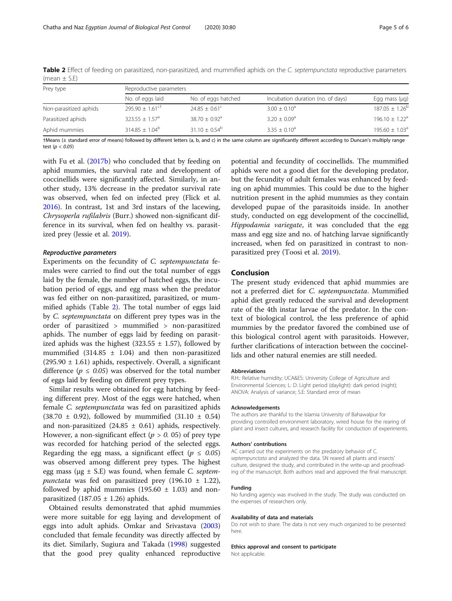| Prey type              | Reproductive parameters        |                               |                                   |                           |  |
|------------------------|--------------------------------|-------------------------------|-----------------------------------|---------------------------|--|
|                        | No. of eggs laid               | No. of eggs hatched           | Incubation duration (no. of days) | Egg mass $(\mu q)$        |  |
| Non-parasitized aphids | $795.90 + 1.61$ <sup>ct</sup>  | $74.85 + 0.61^{\circ}$        | $3.00 \pm 0.10^a$                 | $187.05 \pm 1.26^{\circ}$ |  |
| Parasitized aphids     | $323.55 \pm 1.57$ <sup>a</sup> | $38.70 \pm 0.92$ <sup>a</sup> | $3.20 \pm 0.09$ <sup>a</sup>      | $196.10 \pm 1.22^a$       |  |
| Aphid mummies          | $314.85 \pm 1.04^b$            | $31.10 + 0.54^b$              | $3.35 \pm 0.10^a$                 | $195.60 \pm 1.03^a$       |  |

Table 2 Effect of feeding on parasitized, non-parasitized, and mummified aphids on the C. septempunctata reproductive parameters (mean  $\pm$  S.E)

†Means (± standard error of means) followed by different letters (a, b, and c) in the same column are significantly different according to Duncan's multiply range test ( $p < 0.05$ )

with Fu et al. ([2017b\)](#page-5-0) who concluded that by feeding on aphid mummies, the survival rate and development of coccinellids were significantly affected. Similarly, in another study, 13% decrease in the predator survival rate was observed, when fed on infected prey (Flick et al. [2016](#page-5-0)). In contrast, 1st and 3rd instars of the lacewing, Chrysoperla rufilabris (Burr.) showed non-significant difference in its survival, when fed on healthy vs. parasitized prey (Jessie et al. [2019](#page-5-0)).

#### Reproductive parameters

Experiments on the fecundity of C. septempunctata females were carried to find out the total number of eggs laid by the female, the number of hatched eggs, the incubation period of eggs, and egg mass when the predator was fed either on non-parasitized, parasitized, or mummified aphids (Table 2). The total number of eggs laid by C. septempunctata on different prey types was in the order of parasitized > mummified > non-parasitized aphids. The number of eggs laid by feeding on parasitized aphids was the highest (323.55  $\pm$  1.57), followed by mummified  $(314.85 \pm 1.04)$  and then non-parasitized  $(295.90 \pm 1.61)$  aphids, respectively. Overall, a significant difference ( $p \le 0.05$ ) was observed for the total number of eggs laid by feeding on different prey types.

Similar results were obtained for egg hatching by feeding different prey. Most of the eggs were hatched, when female C. septempunctata was fed on parasitized aphids  $(38.70 \pm 0.92)$ , followed by mummified  $(31.10 \pm 0.54)$ and non-parasitized  $(24.85 \pm 0.61)$  aphids, respectively. However, a non-significant effect ( $p > 0$ . 05) of prey type was recorded for hatching period of the selected eggs. Regarding the egg mass, a significant effect ( $p \leq 0.05$ ) was observed among different prey types. The highest egg mass ( $\mu$ g  $\pm$  S.E) was found, when female *C. septem*punctata was fed on parasitized prey (196.10  $\pm$  1.22), followed by aphid mummies (195.60  $\pm$  1.03) and nonparasitized  $(187.05 \pm 1.26)$  aphids.

Obtained results demonstrated that aphid mummies were more suitable for egg laying and development of eggs into adult aphids. Omkar and Srivastava ([2003](#page-5-0)) concluded that female fecundity was directly affected by its diet. Similarly, Sugiura and Takada [\(1998\)](#page-5-0) suggested that the good prey quality enhanced reproductive

potential and fecundity of coccinellids. The mummified aphids were not a good diet for the developing predator, but the fecundity of adult females was enhanced by feeding on aphid mummies. This could be due to the higher nutrition present in the aphid mummies as they contain developed pupae of the parasitoids inside. In another study, conducted on egg development of the coccinellid, Hippodamia variegate, it was concluded that the egg mass and egg size and no. of hatching larvae significantly increased, when fed on parasitized in contrast to nonparasitized prey (Toosi et al. [2019](#page-5-0)).

## Conclusion

The present study evidenced that aphid mummies are not a preferred diet for C. septempunctata. Mummified aphid diet greatly reduced the survival and development rate of the 4th instar larvae of the predator. In the context of biological control, the less preference of aphid mummies by the predator favored the combined use of this biological control agent with parasitoids. However, further clarifications of interaction between the coccinellids and other natural enemies are still needed.

#### **Abbreviations**

R.H.: Relative humidity; UCA&ES: University College of Agriculture and Environmental Sciences; L: D: Light period (daylight): dark period (night); ANOVA: Analysis of variance; S.E: Standard error of mean

#### Acknowledgements

The authors are thankful to the Islamia University of Bahawalpur for providing controlled environment laboratory, wired house for the rearing of plant and insect cultures, and research facility for conduction of experiments.

#### Authors' contributions

AC carried out the experiments on the predatory behavior of C. septempunctata and analyzed the data. SN reared all plants and insects' culture, designed the study, and contributed in the write-up and proofreading of the manuscript. Both authors read and approved the final manuscript.

#### Funding

No funding agency was involved in the study. The study was conducted on the expenses of researchers only.

#### Availability of data and materials

Do not wish to share. The data is not very much organized to be presented here.

#### Ethics approval and consent to participate

Not applicable.